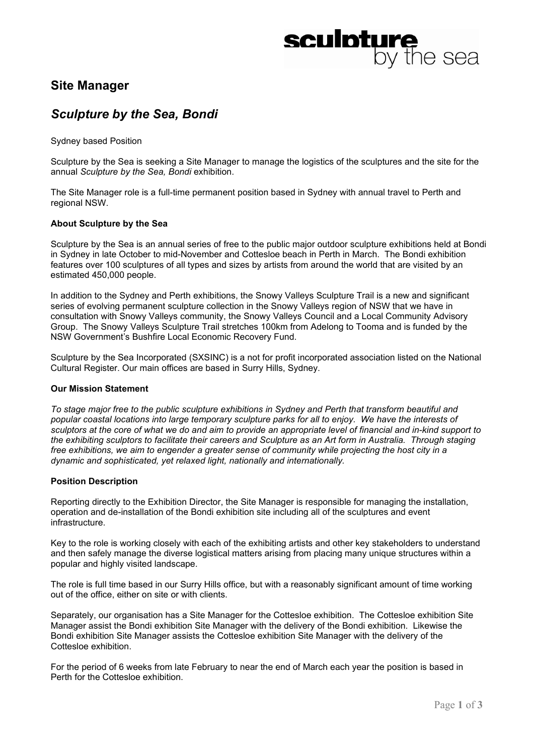# **sculpture**<br>by the sea

# **Site Manager**

# *Sculpture by the Sea, Bondi*

Sydney based Position

Sculpture by the Sea is seeking a Site Manager to manage the logistics of the sculptures and the site for the annual *Sculpture by the Sea, Bondi* exhibition.

The Site Manager role is a full-time permanent position based in Sydney with annual travel to Perth and regional NSW.

## **About Sculpture by the Sea**

Sculpture by the Sea is an annual series of free to the public major outdoor sculpture exhibitions held at Bondi in Sydney in late October to mid-November and Cottesloe beach in Perth in March. The Bondi exhibition features over 100 sculptures of all types and sizes by artists from around the world that are visited by an estimated 450,000 people.

In addition to the Sydney and Perth exhibitions, the Snowy Valleys Sculpture Trail is a new and significant series of evolving permanent sculpture collection in the Snowy Valleys region of NSW that we have in consultation with Snowy Valleys community, the Snowy Valleys Council and a Local Community Advisory Group. The Snowy Valleys Sculpture Trail stretches 100km from Adelong to Tooma and is funded by the NSW Government's Bushfire Local Economic Recovery Fund.

Sculpture by the Sea Incorporated (SXSINC) is a not for profit incorporated association listed on the National Cultural Register. Our main offices are based in Surry Hills, Sydney.

# **Our Mission Statement**

*To stage major free to the public sculpture exhibitions in Sydney and Perth that transform beautiful and popular coastal locations into large temporary sculpture parks for all to enjoy. We have the interests of sculptors at the core of what we do and aim to provide an appropriate level of financial and in-kind support to the exhibiting sculptors to facilitate their careers and Sculpture as an Art form in Australia. Through staging free exhibitions, we aim to engender a greater sense of community while projecting the host city in a dynamic and sophisticated, yet relaxed light, nationally and internationally.* 

#### **Position Description**

Reporting directly to the Exhibition Director, the Site Manager is responsible for managing the installation, operation and de-installation of the Bondi exhibition site including all of the sculptures and event infrastructure.

Key to the role is working closely with each of the exhibiting artists and other key stakeholders to understand and then safely manage the diverse logistical matters arising from placing many unique structures within a popular and highly visited landscape.

The role is full time based in our Surry Hills office, but with a reasonably significant amount of time working out of the office, either on site or with clients.

Separately, our organisation has a Site Manager for the Cottesloe exhibition. The Cottesloe exhibition Site Manager assist the Bondi exhibition Site Manager with the delivery of the Bondi exhibition. Likewise the Bondi exhibition Site Manager assists the Cottesloe exhibition Site Manager with the delivery of the Cottesloe exhibition.

For the period of 6 weeks from late February to near the end of March each year the position is based in Perth for the Cottesloe exhibition.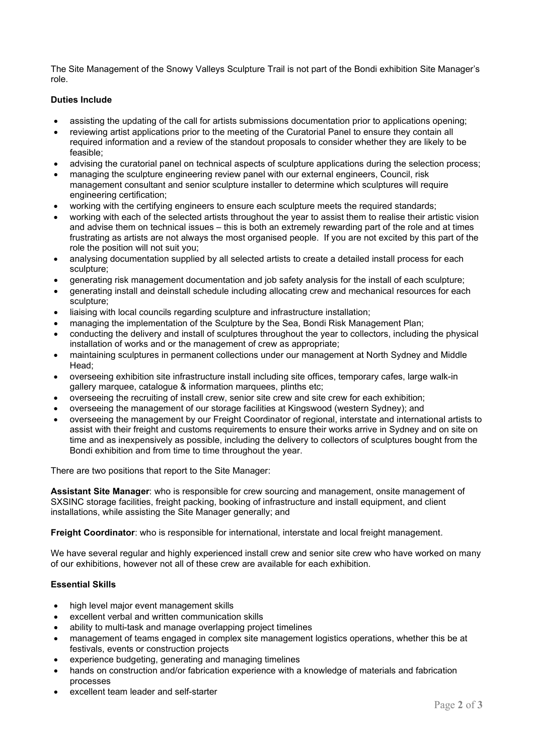The Site Management of the Snowy Valleys Sculpture Trail is not part of the Bondi exhibition Site Manager's role.

# **Duties Include**

- assisting the updating of the call for artists submissions documentation prior to applications opening;
- reviewing artist applications prior to the meeting of the Curatorial Panel to ensure they contain all required information and a review of the standout proposals to consider whether they are likely to be feasible;
- advising the curatorial panel on technical aspects of sculpture applications during the selection process;
- managing the sculpture engineering review panel with our external engineers, Council, risk management consultant and senior sculpture installer to determine which sculptures will require engineering certification;
- working with the certifying engineers to ensure each sculpture meets the required standards;
- working with each of the selected artists throughout the year to assist them to realise their artistic vision and advise them on technical issues – this is both an extremely rewarding part of the role and at times frustrating as artists are not always the most organised people. If you are not excited by this part of the role the position will not suit you;
- analysing documentation supplied by all selected artists to create a detailed install process for each sculpture;
- generating risk management documentation and job safety analysis for the install of each sculpture;
- generating install and deinstall schedule including allocating crew and mechanical resources for each sculpture;
- liaising with local councils regarding sculpture and infrastructure installation;
- managing the implementation of the Sculpture by the Sea, Bondi Risk Management Plan;
- conducting the delivery and install of sculptures throughout the year to collectors, including the physical installation of works and or the management of crew as appropriate;
- maintaining sculptures in permanent collections under our management at North Sydney and Middle Head;
- overseeing exhibition site infrastructure install including site offices, temporary cafes, large walk-in gallery marquee, catalogue & information marquees, plinths etc;
- overseeing the recruiting of install crew, senior site crew and site crew for each exhibition;
- overseeing the management of our storage facilities at Kingswood (western Sydney); and
- overseeing the management by our Freight Coordinator of regional, interstate and international artists to assist with their freight and customs requirements to ensure their works arrive in Sydney and on site on time and as inexpensively as possible, including the delivery to collectors of sculptures bought from the Bondi exhibition and from time to time throughout the year.

There are two positions that report to the Site Manager:

**Assistant Site Manager**: who is responsible for crew sourcing and management, onsite management of SXSINC storage facilities, freight packing, booking of infrastructure and install equipment, and client installations, while assisting the Site Manager generally; and

**Freight Coordinator**: who is responsible for international, interstate and local freight management.

We have several regular and highly experienced install crew and senior site crew who have worked on many of our exhibitions, however not all of these crew are available for each exhibition.

# **Essential Skills**

- high level major event management skills
- excellent verbal and written communication skills
- ability to multi-task and manage overlapping project timelines
- management of teams engaged in complex site management logistics operations, whether this be at festivals, events or construction projects
- experience budgeting, generating and managing timelines
- hands on construction and/or fabrication experience with a knowledge of materials and fabrication processes
- excellent team leader and self-starter